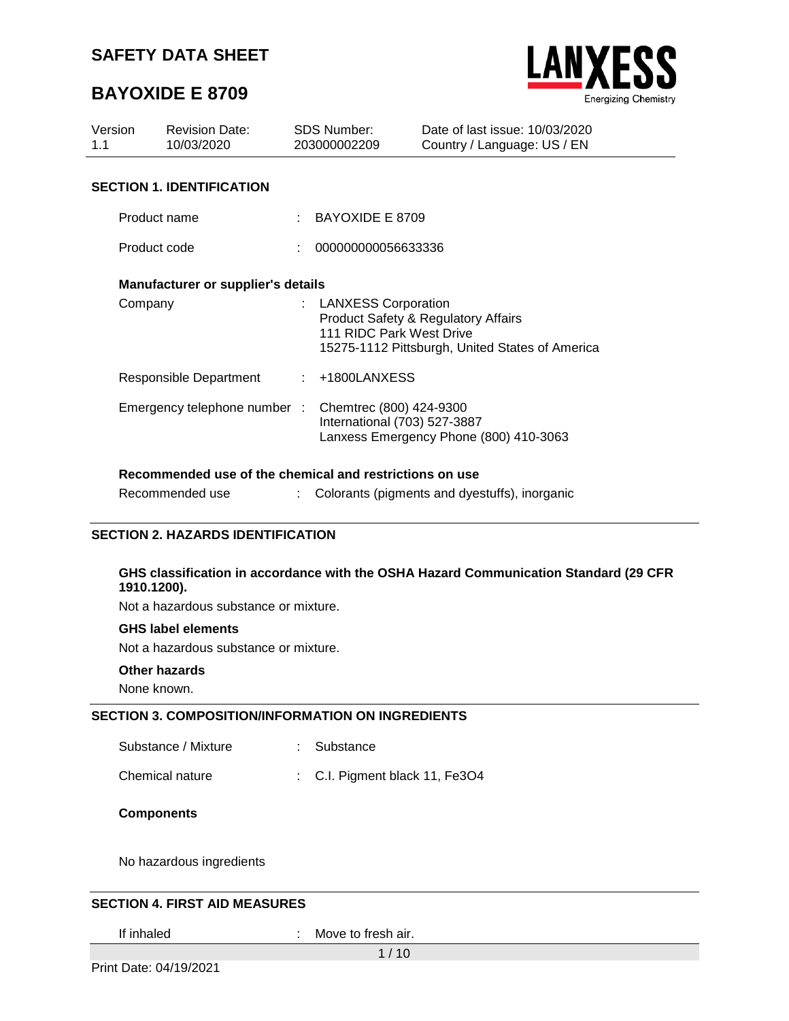# **BAYOXIDE E 8709**



| Version<br>1.1                   | <b>Revision Date:</b><br>10/03/2020 |  | SDS Number:<br>203000002209                             | Date of last issue: 10/03/2020<br>Country / Language: US / EN                          |  |  |
|----------------------------------|-------------------------------------|--|---------------------------------------------------------|----------------------------------------------------------------------------------------|--|--|
| <b>SECTION 1. IDENTIFICATION</b> |                                     |  |                                                         |                                                                                        |  |  |
| Product name                     |                                     |  | BAYOXIDE E 8709                                         |                                                                                        |  |  |
| Product code                     |                                     |  | 000000000056633336                                      |                                                                                        |  |  |
|                                  | Manufacturer or supplier's details  |  |                                                         |                                                                                        |  |  |
| Company                          |                                     |  | : LANXESS Corporation<br>111 RIDC Park West Drive       | Product Safety & Regulatory Affairs<br>15275-1112 Pittsburgh, United States of America |  |  |
|                                  | Responsible Department              |  | $: +1800$ LANXESS                                       |                                                                                        |  |  |
|                                  | Emergency telephone number :        |  | Chemtrec (800) 424-9300<br>International (703) 527-3887 | Lanxess Emergency Phone (800) 410-3063                                                 |  |  |

## **Recommended use of the chemical and restrictions on use**

| Recommended use |  | Colorants (pigments and dyestuffs), inorganic |
|-----------------|--|-----------------------------------------------|
|-----------------|--|-----------------------------------------------|

## **SECTION 2. HAZARDS IDENTIFICATION**

#### **GHS classification in accordance with the OSHA Hazard Communication Standard (29 CFR 1910.1200).**

Not a hazardous substance or mixture.

#### **GHS label elements**

Not a hazardous substance or mixture.

#### **Other hazards**

None known.

#### **SECTION 3. COMPOSITION/INFORMATION ON INGREDIENTS**

Substance / Mixture : Substance

Chemical nature : C.I. Pigment black 11, Fe3O4

1 / 10

#### **Components**

No hazardous ingredients

#### **SECTION 4. FIRST AID MEASURES**

If inhaled : Move to fresh air.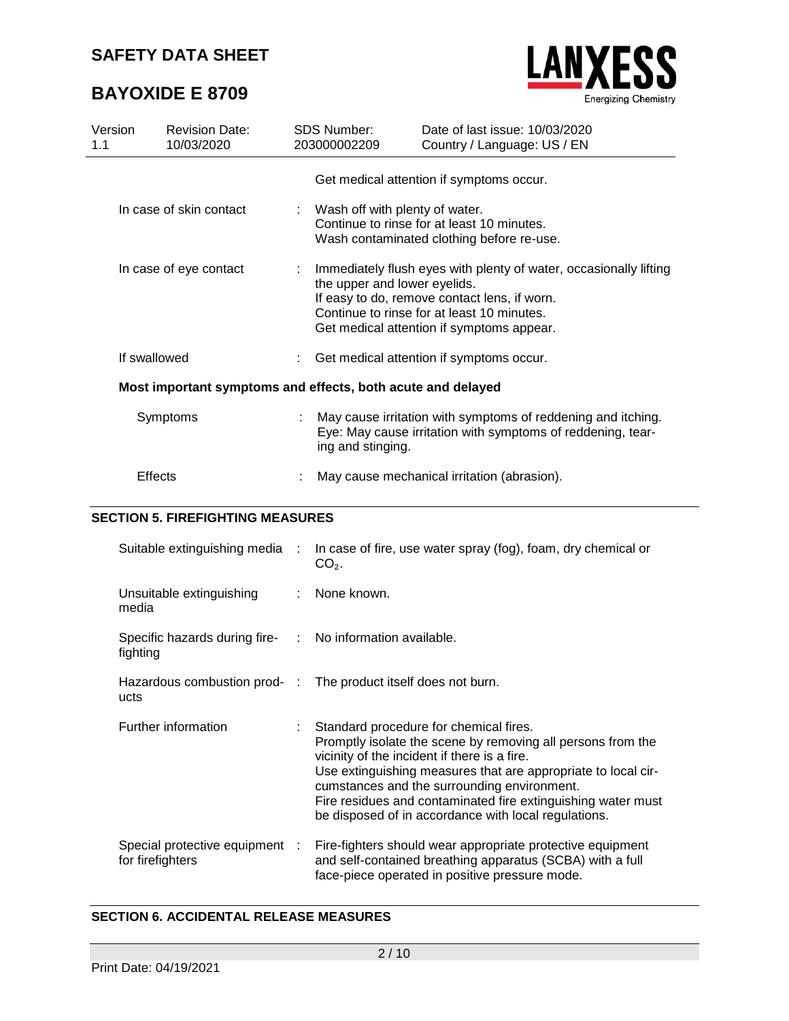# **BAYOXIDE E 8709**



| Version<br>1.1          | <b>Revision Date:</b><br>10/03/2020                         |  | SDS Number:<br>203000002209                                                                                                                                                                                                                  | Date of last issue: 10/03/2020<br>Country / Language: US / EN                                                               |  |  |
|-------------------------|-------------------------------------------------------------|--|----------------------------------------------------------------------------------------------------------------------------------------------------------------------------------------------------------------------------------------------|-----------------------------------------------------------------------------------------------------------------------------|--|--|
|                         |                                                             |  |                                                                                                                                                                                                                                              | Get medical attention if symptoms occur.                                                                                    |  |  |
| In case of skin contact |                                                             |  |                                                                                                                                                                                                                                              | Wash off with plenty of water.<br>Continue to rinse for at least 10 minutes.<br>Wash contaminated clothing before re-use.   |  |  |
|                         | In case of eye contact                                      |  | Immediately flush eyes with plenty of water, occasionally lifting<br>the upper and lower eyelids.<br>If easy to do, remove contact lens, if worn.<br>Continue to rinse for at least 10 minutes.<br>Get medical attention if symptoms appear. |                                                                                                                             |  |  |
|                         | If swallowed                                                |  | Get medical attention if symptoms occur.                                                                                                                                                                                                     |                                                                                                                             |  |  |
|                         | Most important symptoms and effects, both acute and delayed |  |                                                                                                                                                                                                                                              |                                                                                                                             |  |  |
|                         | Symptoms                                                    |  | ing and stinging.                                                                                                                                                                                                                            | May cause irritation with symptoms of reddening and itching.<br>Eye: May cause irritation with symptoms of reddening, tear- |  |  |
| Effects                 |                                                             |  |                                                                                                                                                                                                                                              | May cause mechanical irritation (abrasion).                                                                                 |  |  |

## **SECTION 5. FIREFIGHTING MEASURES**

| Suitable extinguishing media :                                        | In case of fire, use water spray (fog), foam, dry chemical or<br>$CO2$ .                                                                                                                                                                                                                                                                                                                        |
|-----------------------------------------------------------------------|-------------------------------------------------------------------------------------------------------------------------------------------------------------------------------------------------------------------------------------------------------------------------------------------------------------------------------------------------------------------------------------------------|
| Unsuitable extinguishing<br>media                                     | : None known.                                                                                                                                                                                                                                                                                                                                                                                   |
| Specific hazards during fire- : No information available.<br>fighting |                                                                                                                                                                                                                                                                                                                                                                                                 |
| ucts                                                                  | Hazardous combustion prod- : The product itself does not burn.                                                                                                                                                                                                                                                                                                                                  |
| Further information                                                   | : Standard procedure for chemical fires.<br>Promptly isolate the scene by removing all persons from the<br>vicinity of the incident if there is a fire.<br>Use extinguishing measures that are appropriate to local cir-<br>cumstances and the surrounding environment.<br>Fire residues and contaminated fire extinguishing water must<br>be disposed of in accordance with local regulations. |
| Special protective equipment :<br>for firefighters                    | Fire-fighters should wear appropriate protective equipment<br>and self-contained breathing apparatus (SCBA) with a full<br>face-piece operated in positive pressure mode.                                                                                                                                                                                                                       |

## **SECTION 6. ACCIDENTAL RELEASE MEASURES**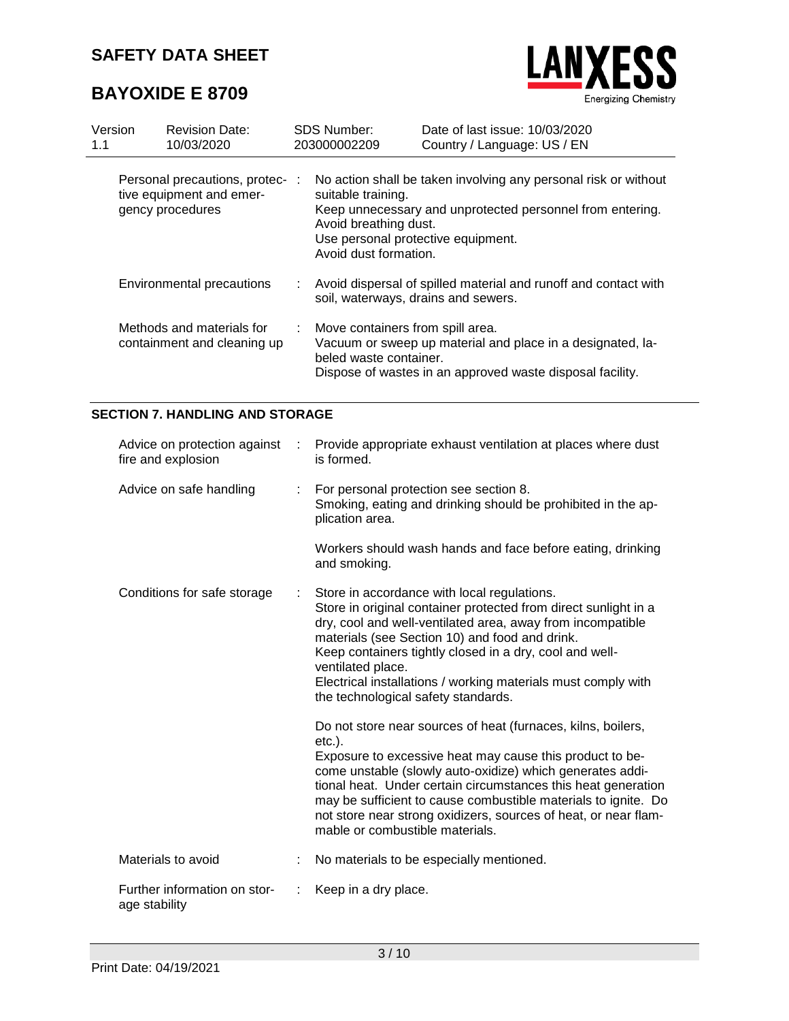# **BAYOXIDE E 8709**



| Version<br>1.1 | <b>Revision Date:</b><br>10/03/2020                                             | <b>SDS Number:</b><br>203000002209                                                                         | Date of last issue: 10/03/2020<br>Country / Language: US / EN                                                                |
|----------------|---------------------------------------------------------------------------------|------------------------------------------------------------------------------------------------------------|------------------------------------------------------------------------------------------------------------------------------|
|                | Personal precautions, protec- :<br>tive equipment and emer-<br>gency procedures | suitable training.<br>Avoid breathing dust.<br>Use personal protective equipment.<br>Avoid dust formation. | No action shall be taken involving any personal risk or without<br>Keep unnecessary and unprotected personnel from entering. |
|                | Environmental precautions                                                       | soil, waterways, drains and sewers.                                                                        | Avoid dispersal of spilled material and runoff and contact with                                                              |
|                | Methods and materials for<br>containment and cleaning up                        | : Move containers from spill area.<br>beled waste container.                                               | Vacuum or sweep up material and place in a designated, la-<br>Dispose of wastes in an approved waste disposal facility.      |

## **SECTION 7. HANDLING AND STORAGE**

| Advice on protection against<br>fire and explosion | ÷  | Provide appropriate exhaust ventilation at places where dust<br>is formed.                                                                                                                                                                                                                                                                                                                                                                  |
|----------------------------------------------------|----|---------------------------------------------------------------------------------------------------------------------------------------------------------------------------------------------------------------------------------------------------------------------------------------------------------------------------------------------------------------------------------------------------------------------------------------------|
| Advice on safe handling                            |    | For personal protection see section 8.<br>Smoking, eating and drinking should be prohibited in the ap-<br>plication area.                                                                                                                                                                                                                                                                                                                   |
|                                                    |    | Workers should wash hands and face before eating, drinking<br>and smoking.                                                                                                                                                                                                                                                                                                                                                                  |
| Conditions for safe storage                        | ÷. | Store in accordance with local regulations.<br>Store in original container protected from direct sunlight in a<br>dry, cool and well-ventilated area, away from incompatible<br>materials (see Section 10) and food and drink.<br>Keep containers tightly closed in a dry, cool and well-<br>ventilated place.<br>Electrical installations / working materials must comply with<br>the technological safety standards.                      |
|                                                    |    | Do not store near sources of heat (furnaces, kilns, boilers,<br>$etc.$ ).<br>Exposure to excessive heat may cause this product to be-<br>come unstable (slowly auto-oxidize) which generates addi-<br>tional heat. Under certain circumstances this heat generation<br>may be sufficient to cause combustible materials to ignite. Do<br>not store near strong oxidizers, sources of heat, or near flam-<br>mable or combustible materials. |
| Materials to avoid                                 |    | No materials to be especially mentioned.                                                                                                                                                                                                                                                                                                                                                                                                    |
| Further information on stor-<br>age stability      |    | Keep in a dry place.                                                                                                                                                                                                                                                                                                                                                                                                                        |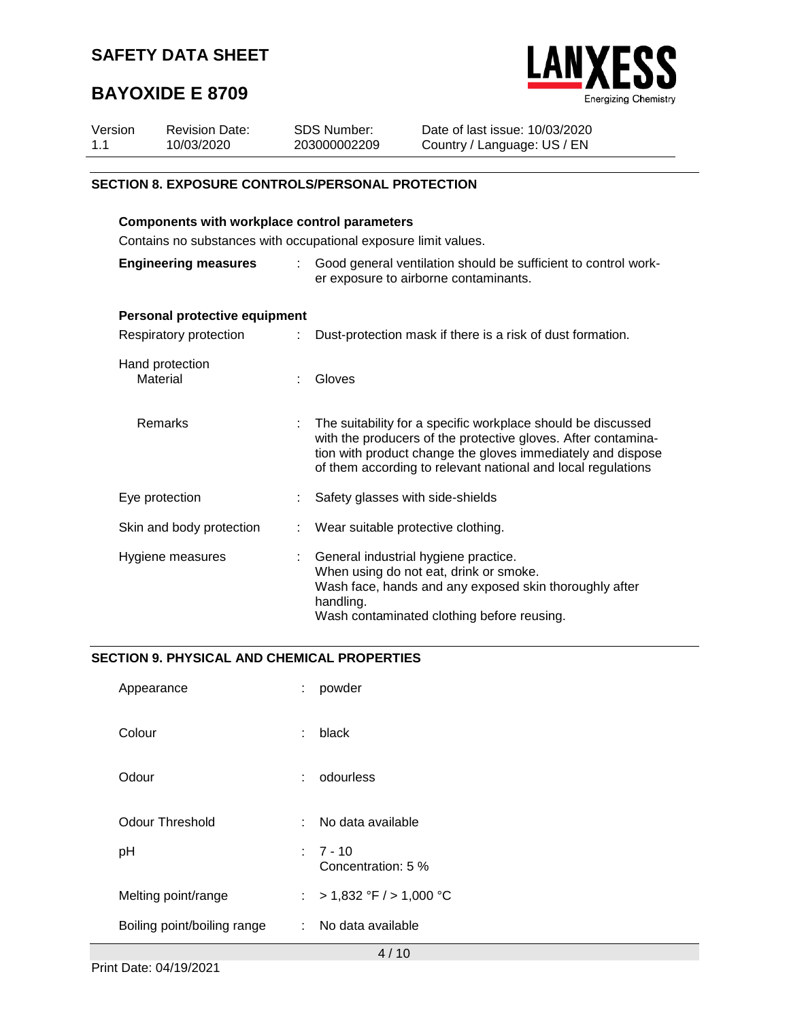

# **BAYOXIDE E 8709**

| Version | <b>Revision Date:</b> | SDS Number:  | Date of last issue: 10/03/2020 |
|---------|-----------------------|--------------|--------------------------------|
| 1.1     | 10/03/2020            | 203000002209 | Country / Language: US / EN    |

## **SECTION 8. EXPOSURE CONTROLS/PERSONAL PROTECTION**

| <b>Components with workplace control parameters</b><br>Contains no substances with occupational exposure limit values. |                                                                                                           |                                                                                                                                                                                                                                                              |  |  |  |
|------------------------------------------------------------------------------------------------------------------------|-----------------------------------------------------------------------------------------------------------|--------------------------------------------------------------------------------------------------------------------------------------------------------------------------------------------------------------------------------------------------------------|--|--|--|
| <b>Engineering measures</b>                                                                                            | : Good general ventilation should be sufficient to control work-<br>er exposure to airborne contaminants. |                                                                                                                                                                                                                                                              |  |  |  |
| Personal protective equipment                                                                                          |                                                                                                           |                                                                                                                                                                                                                                                              |  |  |  |
| Respiratory protection                                                                                                 | ÷.                                                                                                        | Dust-protection mask if there is a risk of dust formation.                                                                                                                                                                                                   |  |  |  |
| Hand protection<br>Material                                                                                            | ÷                                                                                                         | Gloves                                                                                                                                                                                                                                                       |  |  |  |
| Remarks                                                                                                                | ÷                                                                                                         | The suitability for a specific workplace should be discussed<br>with the producers of the protective gloves. After contamina-<br>tion with product change the gloves immediately and dispose<br>of them according to relevant national and local regulations |  |  |  |
| Eye protection                                                                                                         |                                                                                                           | Safety glasses with side-shields                                                                                                                                                                                                                             |  |  |  |
| Skin and body protection                                                                                               |                                                                                                           | Wear suitable protective clothing.                                                                                                                                                                                                                           |  |  |  |
| Hygiene measures                                                                                                       | t.                                                                                                        | General industrial hygiene practice.<br>When using do not eat, drink or smoke.<br>Wash face, hands and any exposed skin thoroughly after<br>handling.<br>Wash contaminated clothing before reusing.                                                          |  |  |  |

### **SECTION 9. PHYSICAL AND CHEMICAL PROPERTIES**

| Appearance                  | powder<br>t.                     |
|-----------------------------|----------------------------------|
| Colour                      | black<br>t.                      |
| Odour                       | odourless<br>t.                  |
| Odour Threshold             | No data available<br>t.          |
| pH                          | $: 7 - 10$<br>Concentration: 5 % |
| Melting point/range         | : > 1,832 °F / > 1,000 °C        |
| Boiling point/boiling range | : No data available              |
|                             | 4/10                             |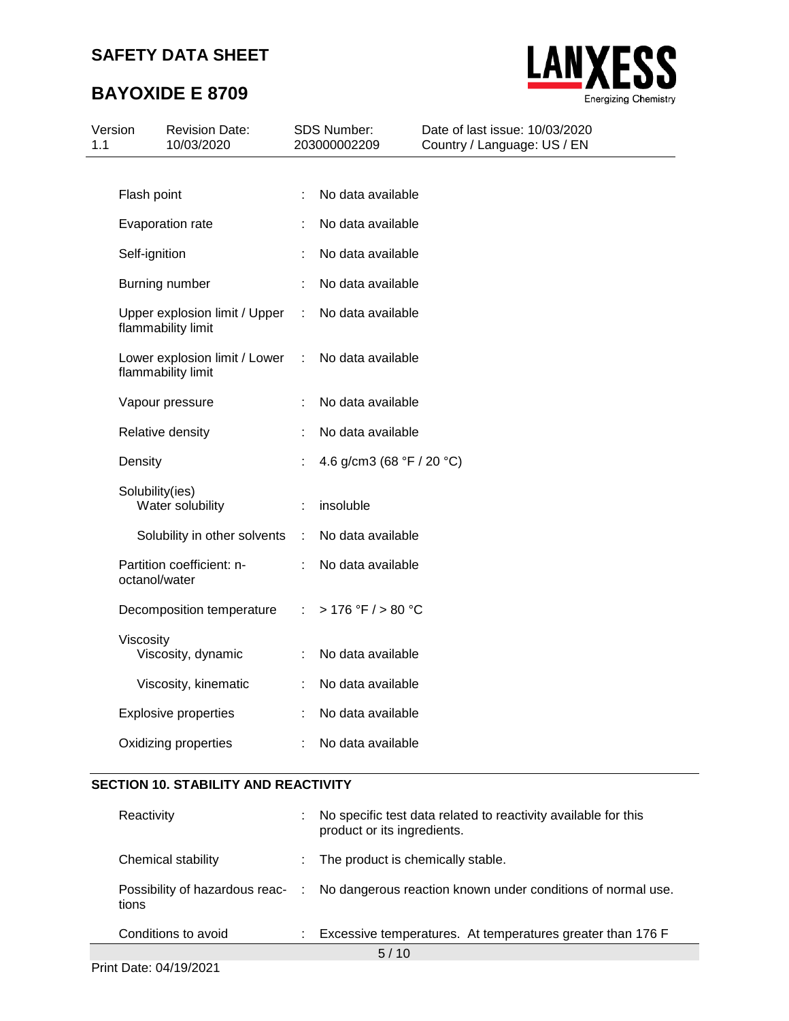# **BAYOXIDE E 8709**



| Version<br>1.1 |                 | <b>Revision Date:</b><br>10/03/2020                 |                             | <b>SDS Number:</b><br>203000002209          | Date of last issue: 10/03/2020<br>Country / Language: US / EN |
|----------------|-----------------|-----------------------------------------------------|-----------------------------|---------------------------------------------|---------------------------------------------------------------|
|                |                 |                                                     |                             | No data available                           |                                                               |
|                | Flash point     |                                                     |                             |                                             |                                                               |
|                |                 | Evaporation rate                                    |                             | No data available                           |                                                               |
|                | Self-ignition   |                                                     |                             | No data available                           |                                                               |
|                |                 | Burning number                                      | ÷                           | No data available                           |                                                               |
|                |                 | Upper explosion limit / Upper<br>flammability limit | ÷                           | No data available                           |                                                               |
|                |                 | Lower explosion limit / Lower<br>flammability limit | ÷                           | No data available                           |                                                               |
|                |                 | Vapour pressure                                     | ÷                           | No data available                           |                                                               |
|                |                 | Relative density                                    |                             | No data available                           |                                                               |
|                | Density         |                                                     |                             | 4.6 g/cm3 (68 $\degree$ F / 20 $\degree$ C) |                                                               |
|                | Solubility(ies) | Water solubility                                    | ÷                           | insoluble                                   |                                                               |
|                |                 | Solubility in other solvents                        | ÷                           | No data available                           |                                                               |
|                | octanol/water   | Partition coefficient: n-                           |                             | No data available                           |                                                               |
|                |                 | Decomposition temperature                           | $\mathcal{L}^{\mathcal{L}}$ | >176 °F / > 80 °C                           |                                                               |
|                | Viscosity       | Viscosity, dynamic                                  |                             | No data available                           |                                                               |
|                |                 | Viscosity, kinematic                                | ÷                           | No data available                           |                                                               |
|                |                 | <b>Explosive properties</b>                         |                             | No data available                           |                                                               |
|                |                 | Oxidizing properties                                |                             | No data available                           |                                                               |

## **SECTION 10. STABILITY AND REACTIVITY**

| Reactivity          | ÷ | No specific test data related to reactivity available for this<br>product or its ingredients. |  |  |
|---------------------|---|-----------------------------------------------------------------------------------------------|--|--|
| Chemical stability  | ÷ | The product is chemically stable.                                                             |  |  |
| tions               |   | Possibility of hazardous reac- : No dangerous reaction known under conditions of normal use.  |  |  |
| Conditions to avoid |   | Excessive temperatures. At temperatures greater than 176 F                                    |  |  |
|                     |   | 5/10                                                                                          |  |  |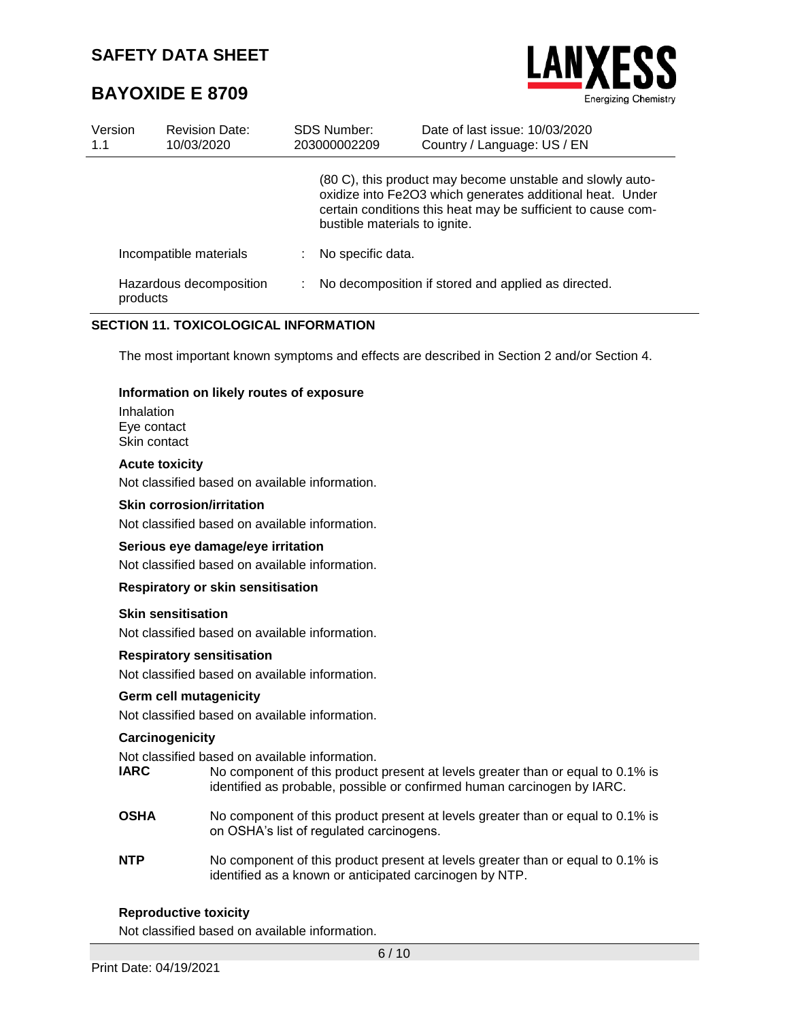# **BAYOXIDE E 8709**



| Version<br>1.1 | <b>Revision Date:</b><br>10/03/2020 | SDS Number:<br>203000002209 | Date of last issue: 10/03/2020<br>Country / Language: US / EN                                                                                                                                                           |
|----------------|-------------------------------------|-----------------------------|-------------------------------------------------------------------------------------------------------------------------------------------------------------------------------------------------------------------------|
|                |                                     |                             | (80 C), this product may become unstable and slowly auto-<br>oxidize into Fe2O3 which generates additional heat. Under<br>certain conditions this heat may be sufficient to cause com-<br>bustible materials to ignite. |
|                | Incompatible materials              | No specific data.           |                                                                                                                                                                                                                         |
|                | Hazardous decomposition<br>products |                             | No decomposition if stored and applied as directed.                                                                                                                                                                     |

### **SECTION 11. TOXICOLOGICAL INFORMATION**

The most important known symptoms and effects are described in Section 2 and/or Section 4.

#### **Information on likely routes of exposure**

Inhalation Eye contact Skin contact

#### **Acute toxicity**

Not classified based on available information.

#### **Skin corrosion/irritation**

Not classified based on available information.

#### **Serious eye damage/eye irritation**

Not classified based on available information.

#### **Respiratory or skin sensitisation**

#### **Skin sensitisation**

Not classified based on available information.

#### **Respiratory sensitisation**

Not classified based on available information.

#### **Germ cell mutagenicity**

Not classified based on available information.

#### **Carcinogenicity**

Not classified based on available information.

- **IARC** No component of this product present at levels greater than or equal to 0.1% is identified as probable, possible or confirmed human carcinogen by IARC.
- **OSHA** No component of this product present at levels greater than or equal to 0.1% is on OSHA's list of regulated carcinogens.
- **NTP** No component of this product present at levels greater than or equal to 0.1% is identified as a known or anticipated carcinogen by NTP.

#### **Reproductive toxicity**

Not classified based on available information.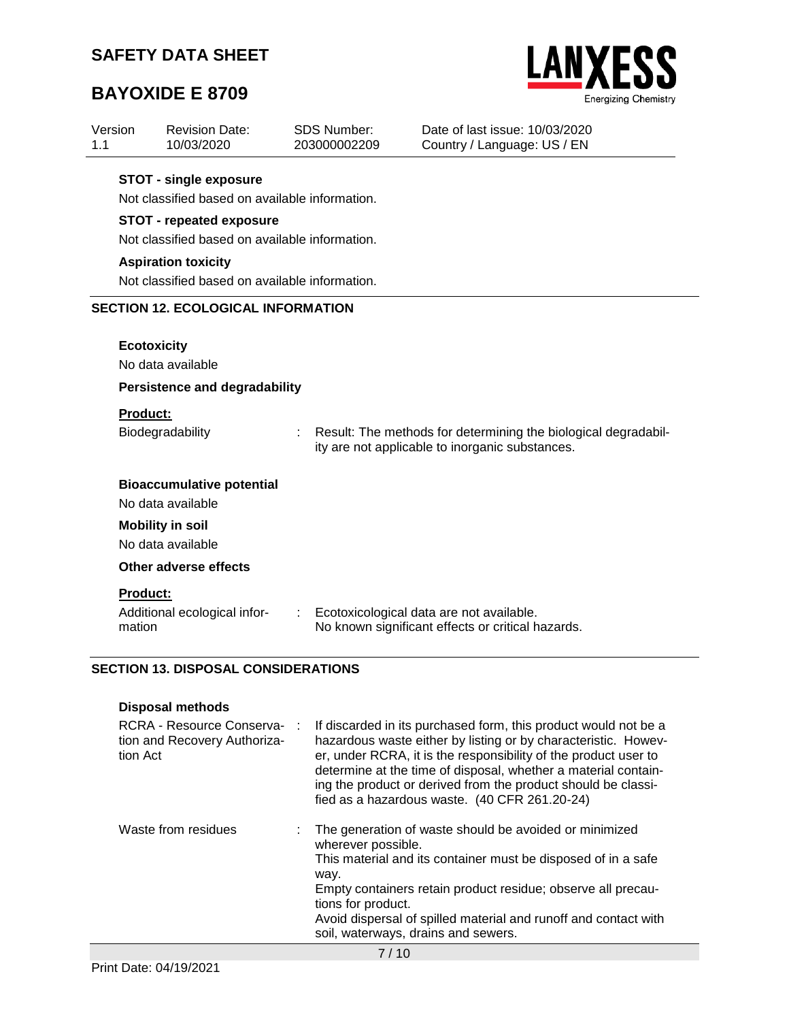# **BAYOXIDE E 8709**



| Version<br>1.1  | <b>Revision Date:</b><br>10/03/2020                                               |  | <b>SDS Number:</b><br>203000002209 | Date of last issue: 10/03/2020<br>Country / Language: US / EN                                                     |  |  |  |  |
|-----------------|-----------------------------------------------------------------------------------|--|------------------------------------|-------------------------------------------------------------------------------------------------------------------|--|--|--|--|
|                 | <b>STOT - single exposure</b>                                                     |  |                                    |                                                                                                                   |  |  |  |  |
|                 | Not classified based on available information.                                    |  |                                    |                                                                                                                   |  |  |  |  |
|                 | <b>STOT - repeated exposure</b><br>Not classified based on available information. |  |                                    |                                                                                                                   |  |  |  |  |
|                 |                                                                                   |  |                                    |                                                                                                                   |  |  |  |  |
|                 | <b>Aspiration toxicity</b><br>Not classified based on available information.      |  |                                    |                                                                                                                   |  |  |  |  |
|                 |                                                                                   |  |                                    |                                                                                                                   |  |  |  |  |
|                 | <b>SECTION 12. ECOLOGICAL INFORMATION</b>                                         |  |                                    |                                                                                                                   |  |  |  |  |
|                 | <b>Ecotoxicity</b>                                                                |  |                                    |                                                                                                                   |  |  |  |  |
|                 | No data available                                                                 |  |                                    |                                                                                                                   |  |  |  |  |
|                 | <b>Persistence and degradability</b>                                              |  |                                    |                                                                                                                   |  |  |  |  |
| <b>Product:</b> |                                                                                   |  |                                    |                                                                                                                   |  |  |  |  |
|                 | Biodegradability                                                                  |  |                                    | Result: The methods for determining the biological degradabil-<br>ity are not applicable to inorganic substances. |  |  |  |  |
|                 | <b>Bioaccumulative potential</b><br>No data available                             |  |                                    |                                                                                                                   |  |  |  |  |
|                 | <b>Mobility in soil</b><br>No data available                                      |  |                                    |                                                                                                                   |  |  |  |  |
|                 | Other adverse effects                                                             |  |                                    |                                                                                                                   |  |  |  |  |
| Product:        |                                                                                   |  |                                    |                                                                                                                   |  |  |  |  |
| mation          | Additional ecological infor-                                                      |  |                                    | Ecotoxicological data are not available.<br>No known significant effects or critical hazards.                     |  |  |  |  |
|                 | <b>SECTION 13. DISPOSAL CONSIDERATIONS</b>                                        |  |                                    |                                                                                                                   |  |  |  |  |

## **Disposal methods**

| RCRA - Resource Conserva-<br>tion and Recovery Authoriza-<br>tion Act | $\ddot{\phantom{a}}$ | If discarded in its purchased form, this product would not be a<br>hazardous waste either by listing or by characteristic. Howev-<br>er, under RCRA, it is the responsibility of the product user to<br>determine at the time of disposal, whether a material contain-<br>ing the product or derived from the product should be classi-<br>fied as a hazardous waste. (40 CFR 261.20-24) |
|-----------------------------------------------------------------------|----------------------|------------------------------------------------------------------------------------------------------------------------------------------------------------------------------------------------------------------------------------------------------------------------------------------------------------------------------------------------------------------------------------------|
| Waste from residues                                                   |                      | The generation of waste should be avoided or minimized<br>wherever possible.<br>This material and its container must be disposed of in a safe<br>way.<br>Empty containers retain product residue; observe all precau-<br>tions for product.<br>Avoid dispersal of spilled material and runoff and contact with<br>soil, waterways, drains and sewers.<br>$-112$                          |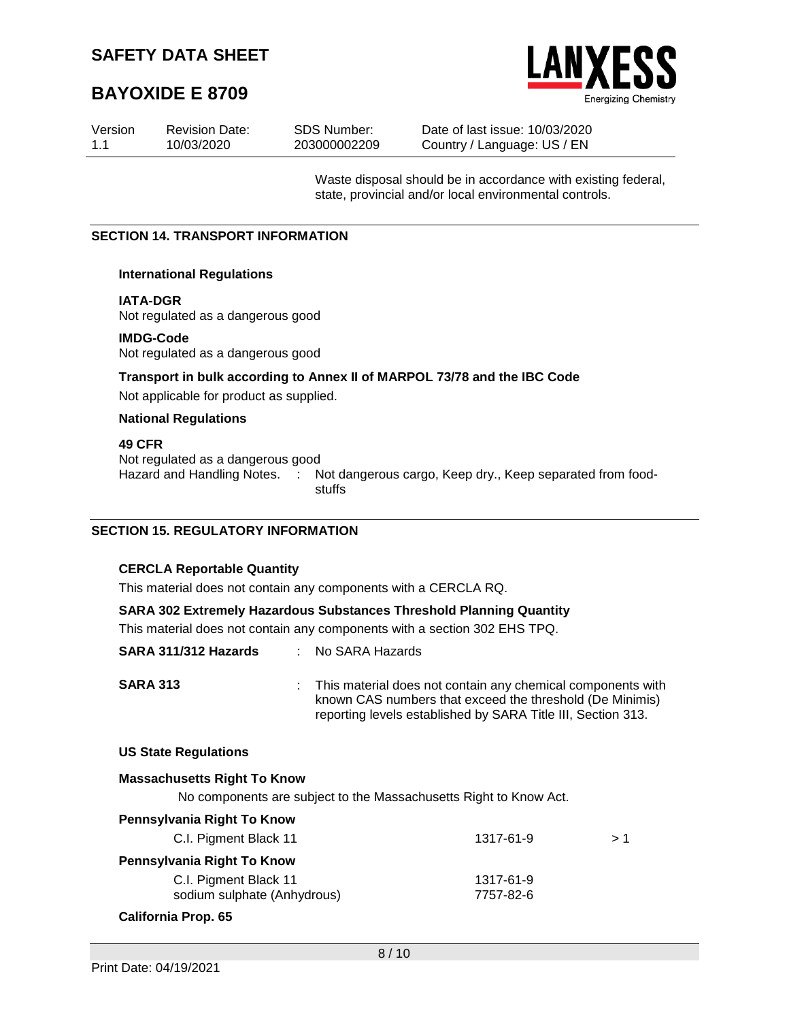# **BAYOXIDE E 8709**



| Version | <b>Revision Date:</b> | <b>SDS Number:</b> | Date of last issue: 10/03/2020 |
|---------|-----------------------|--------------------|--------------------------------|
| $-1.1$  | 10/03/2020            | 203000002209       | Country / Language: US / EN    |
|         |                       |                    |                                |

Waste disposal should be in accordance with existing federal, state, provincial and/or local environmental controls.

#### **SECTION 14. TRANSPORT INFORMATION**

#### **International Regulations**

#### **IATA-DGR**

Not regulated as a dangerous good

#### **IMDG-Code**

Not regulated as a dangerous good

### **Transport in bulk according to Annex II of MARPOL 73/78 and the IBC Code**

Not applicable for product as supplied.

#### **National Regulations**

### **49 CFR**

Not regulated as a dangerous good

Hazard and Handling Notes. : Not dangerous cargo, Keep dry., Keep separated from foodstuffs

### **SECTION 15. REGULATORY INFORMATION**

### **CERCLA Reportable Quantity**

This material does not contain any components with a CERCLA RQ.

### **SARA 302 Extremely Hazardous Substances Threshold Planning Quantity**

This material does not contain any components with a section 302 EHS TPQ.

| SARA 311/312 Hazards |  | No SARA Hazards |
|----------------------|--|-----------------|
|----------------------|--|-----------------|

| <b>SARA 313</b> | : This material does not contain any chemical components with |
|-----------------|---------------------------------------------------------------|
|                 | known CAS numbers that exceed the threshold (De Minimis)      |
|                 | reporting levels established by SARA Title III, Section 313.  |

### **US State Regulations**

| <b>Massachusetts Right To Know</b><br>No components are subject to the Massachusetts Right to Know Act. |                        |    |  |  |
|---------------------------------------------------------------------------------------------------------|------------------------|----|--|--|
| Pennsylvania Right To Know                                                                              |                        |    |  |  |
| C.I. Pigment Black 11                                                                                   | 1317-61-9              | >1 |  |  |
| Pennsylvania Right To Know                                                                              |                        |    |  |  |
| C.I. Pigment Black 11<br>sodium sulphate (Anhydrous)                                                    | 1317-61-9<br>7757-82-6 |    |  |  |

#### **California Prop. 65**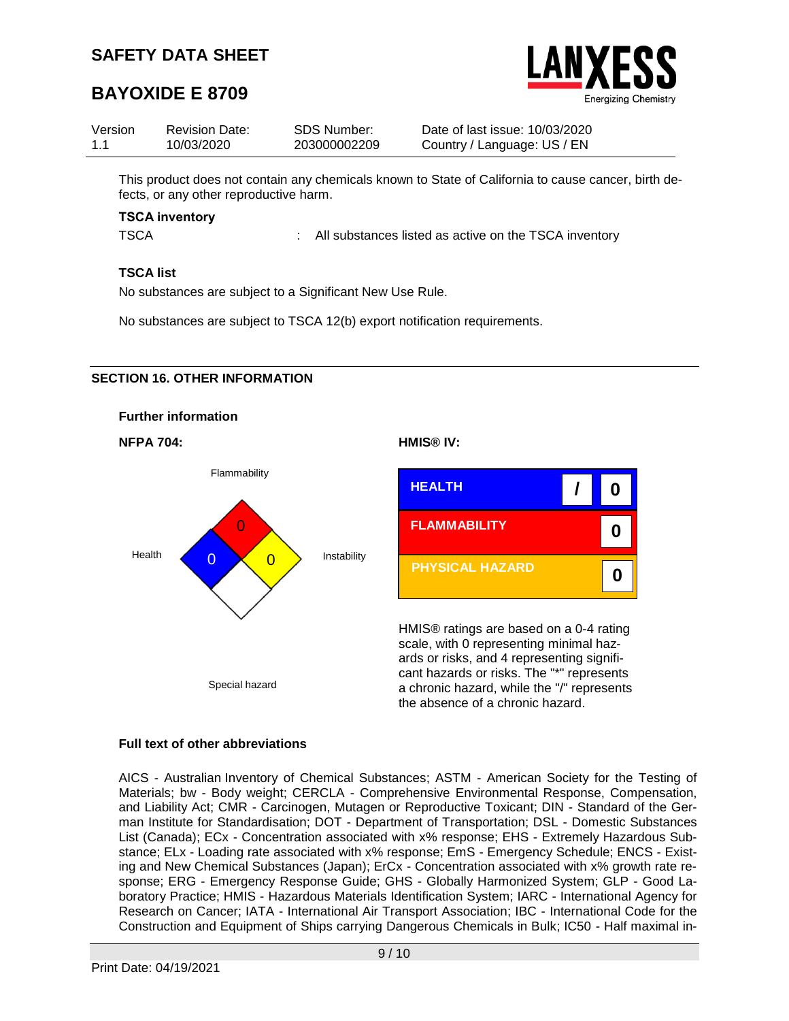



| Version | <b>Revision Date:</b> | SDS Number:  | Date of last issue: 10/03/2020 |
|---------|-----------------------|--------------|--------------------------------|
| 1.1     | 10/03/2020            | 203000002209 | Country / Language: US / EN    |

This product does not contain any chemicals known to State of California to cause cancer, birth defects, or any other reproductive harm.

#### **TSCA inventory**

TSCA **:** All substances listed as active on the TSCA inventory

#### **TSCA list**

No substances are subject to a Significant New Use Rule.

No substances are subject to TSCA 12(b) export notification requirements.

#### **SECTION 16. OTHER INFORMATION**



### **Full text of other abbreviations**

AICS - Australian Inventory of Chemical Substances; ASTM - American Society for the Testing of Materials; bw - Body weight; CERCLA - Comprehensive Environmental Response, Compensation, and Liability Act; CMR - Carcinogen, Mutagen or Reproductive Toxicant; DIN - Standard of the German Institute for Standardisation; DOT - Department of Transportation; DSL - Domestic Substances List (Canada); ECx - Concentration associated with x% response; EHS - Extremely Hazardous Substance; ELx - Loading rate associated with x% response; EmS - Emergency Schedule; ENCS - Existing and New Chemical Substances (Japan); ErCx - Concentration associated with x% growth rate response; ERG - Emergency Response Guide; GHS - Globally Harmonized System; GLP - Good Laboratory Practice; HMIS - Hazardous Materials Identification System; IARC - International Agency for Research on Cancer; IATA - International Air Transport Association; IBC - International Code for the Construction and Equipment of Ships carrying Dangerous Chemicals in Bulk; IC50 - Half maximal in-